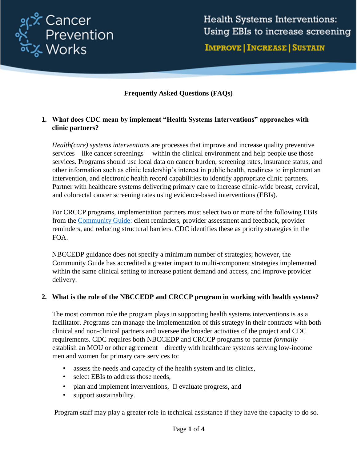

**Health Systems Interventions:** Using EBIs to increase screening **IMPROVE | INCREASE | SUSTAIN** 

### **Frequently Asked Questions (FAQs)**

#### **1. What does CDC mean by implement "Health Systems Interventions" approaches with clinic partners?**

*Health(care) systems interventions* are processes that improve and increase quality preventive services—like cancer screenings— within the clinical environment and help people use those services. Programs should use local data on cancer burden, screening rates, insurance status, and other information such as clinic leadership's interest in public health, readiness to implement an intervention, and electronic health record capabilities to identify appropriate clinic partners. Partner with healthcare systems delivering primary care to increase clinic-wide breast, cervical, and colorectal cancer screening rates using evidence-based interventions (EBIs).

For CRCCP programs, implementation partners must select two or more of the following EBIs from the [Community Guide:](https://www.thecommunityguide.org/content/multicomponent-interventions-recommended-increase-cancer-screening) client reminders, provider assessment and feedback, provider reminders, and reducing structural barriers. CDC identifies these as priority strategies in the FOA.

NBCCEDP guidance does not specify a minimum number of strategies; however, the Community Guide has accredited a greater impact to multi-component strategies implemented within the same clinical setting to increase patient demand and access, and improve provider delivery.

#### **2. What is the role of the NBCCEDP and CRCCP program in working with health systems?**

The most common role the program plays in supporting health systems interventions is as a facilitator. Programs can manage the implementation of this strategy in their contracts with both clinical and non-clinical partners and oversee the broader activities of the project and CDC requirements. CDC requires both NBCCEDP and CRCCP programs to partner *formally* establish an MOU or other agreement—directly with healthcare systems serving low-income men and women for primary care services to:

- assess the needs and capacity of the health system and its clinics,
- select EBIs to address those needs,
- plan and implement interventions,  $\square$  evaluate progress, and
- support sustainability.

Program staff may play a greater role in technical assistance if they have the capacity to do so.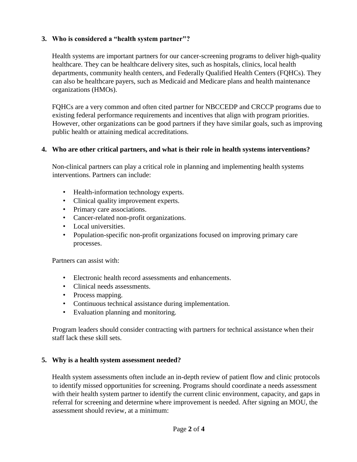## **3. Who is considered a "health system partner"?**

Health systems are important partners for our cancer-screening programs to deliver high-quality healthcare. They can be healthcare delivery sites, such as hospitals, clinics, local health departments, community health centers, and Federally Qualified Health Centers (FQHCs). They can also be healthcare payers, such as Medicaid and Medicare plans and health maintenance organizations (HMOs).

FQHCs are a very common and often cited partner for NBCCEDP and CRCCP programs due to existing federal performance requirements and incentives that align with program priorities. However, other organizations can be good partners if they have similar goals, such as improving public health or attaining medical accreditations.

#### **4. Who are other critical partners, and what is their role in health systems interventions?**

Non-clinical partners can play a critical role in planning and implementing health systems interventions. Partners can include:

- Health-information technology experts.
- Clinical quality improvement experts.
- Primary care associations.
- Cancer-related non-profit organizations.
- Local universities.
- Population-specific non-profit organizations focused on improving primary care processes.

Partners can assist with:

- Electronic health record assessments and enhancements.
- Clinical needs assessments.
- Process mapping.
- Continuous technical assistance during implementation.
- Evaluation planning and monitoring.

Program leaders should consider contracting with partners for technical assistance when their staff lack these skill sets.

#### **5. Why is a health system assessment needed?**

Health system assessments often include an in-depth review of patient flow and clinic protocols to identify missed opportunities for screening. Programs should coordinate a needs assessment with their health system partner to identify the current clinic environment, capacity, and gaps in referral for screening and determine where improvement is needed. After signing an MOU, the assessment should review, at a minimum: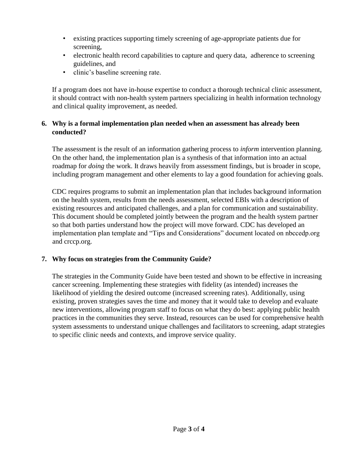- existing practices supporting timely screening of age-appropriate patients due for screening,
- electronic health record capabilities to capture and query data, adherence to screening guidelines, and
- clinic's baseline screening rate.

If a program does not have in-house expertise to conduct a thorough technical clinic assessment, it should contract with non-health system partners specializing in health information technology and clinical quality improvement, as needed.

## **6. Why is a formal implementation plan needed when an assessment has already been conducted?**

The assessment is the result of an information gathering process to *inform* intervention planning. On the other hand, the implementation plan is a synthesis of that information into an actual roadmap for *doing* the work. It draws heavily from assessment findings, but is broader in scope, including program management and other elements to lay a good foundation for achieving goals.

CDC requires programs to submit an implementation plan that includes background information on the health system, results from the needs assessment, selected EBIs with a description of existing resources and anticipated challenges, and a plan for communication and sustainability. This document should be completed jointly between the program and the health system partner so that both parties understand how the project will move forward. CDC has developed an implementation plan template and "Tips and Considerations" document located on nbccedp.org and crccp.org.

# **7. Why focus on strategies from the Community Guide?**

The strategies in the Community Guide have been tested and shown to be effective in increasing cancer screening. Implementing these strategies with fidelity (as intended) increases the likelihood of yielding the desired outcome (increased screening rates). Additionally, using existing, proven strategies saves the time and money that it would take to develop and evaluate new interventions, allowing program staff to focus on what they do best: applying public health practices in the communities they serve. Instead, resources can be used for comprehensive health system assessments to understand unique challenges and facilitators to screening, adapt strategies to specific clinic needs and contexts, and improve service quality.